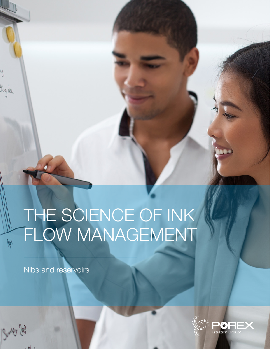# THE SCIENCE OF INK FLOW MANAGEMENT

Nibs and reservoirs

thing else.

 $\frac{1}{2}$ 

Sundy Job

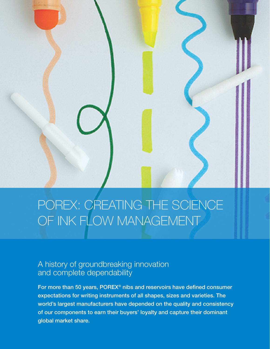## POREX: CREATING THE SCIENCE OF INK FLOW MANAGEMENT

## A history of groundbreaking innovation and complete dependability

For more than 50 years, POREX® nibs and reservoirs have defined consumer expectations for writing instruments of all shapes, sizes and varieties. The world's largest manufacturers have depended on the quality and consistency of our components to earn their buyers' loyalty and capture their dominant global market share.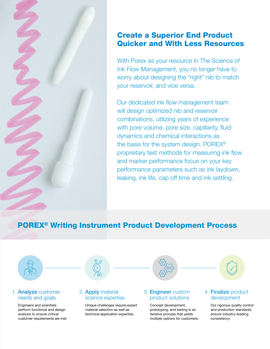### Create a Superior End Product Quicker and With Less Resources

With Porex as your resource in The Science of Ink Flow Management, you no longer have to worry about designing the "right" nib to match your reservoir, and vice versa.

Our dedicated ink flow management team will design optimized nib and reservoir combinations, utilizing years of experience with pore volume, pore size, capillarity, fluid dynamics and chemical interactions as the basis for the system design. POREX® proprietary test methods for measuring ink flow and marker performance focus on your key performance parameters such as ink laydown, leaking, ink life, cap off time and ink settling.

## POREX® Writing Instrument Product Development Process



#### 1. Analyze customer needs and goals

Engineers and scientists perform functional and design analysis to ensure critical customer requirements are met.



#### 2. Apply material science expertise

Unique challenges require expert material selection as well as technical application expertise.



#### 3. Engineer custom product solutions

Concept development, prototyping, and testing is an iterative process that yields multiple options for customers.

#### 4. Finalize product development

Our rigorous quality control and production standards ensure industry-leading consistency.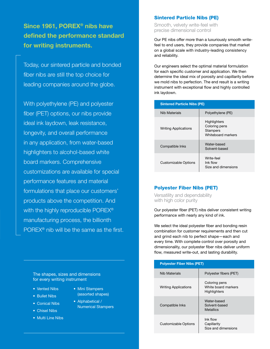Since 1961, POREX® nibs have defined the performance standard for writing instruments.

Today, our sintered particle and bonded fiber nibs are still the top choice for leading companies around the globe.

With polyethylene (PE) and polyester fiber (PET) options, our nibs provide ideal ink laydown, leak resistance, longevity, and overall performance in any application, from water-based highlighters to alcohol-based white board markers. Comprehensive customizations are available for special performance features and material formulations that place our customers' products above the competition. And with the highly reproducible POREX<sup>®</sup> manufacturing process, the billionth POREX® nib will be the same as the first.

The shapes, sizes and dimensions for every writing instrument

- Vented Nibs
- Bullet Nibs
- Conical Nibs
- Chisel Nibs
- Multi Line Nibs
- Mini Stampers (assorted shapes)
- Alphabetical / Numerical Stampers

Sintered Particle Nibs (PE)

Smooth, velvety write-feel with precise dimensional control

Our PE nibs offer more than a luxuriously smooth writefeel to end users, they provide companies that market on a global scale with industry-leading consistency and reliability.

Our engineers select the optimal material formulation for each specific customer and application. We then determine the ideal mix of porosity and capillarity before we mold nibs to perfection. The end result is a writing instrument with exceptional flow and highly controlled ink laydown.

| <b>Sintered Particle Nibs (PE)</b> |                                                                        |
|------------------------------------|------------------------------------------------------------------------|
| Nib Materials                      | Polyethylene (PE)                                                      |
| <b>Writing Applications</b>        | Highlighters<br>Coloring pens<br><b>Stampers</b><br>Whiteboard markers |
| Compatible Inks                    | Water-based<br>Solvent-based                                           |
| Customizable Options               | Write-feel<br>Ink flow<br>Size and dimensions                          |

#### Polyester Fiber Nibs (PET)

Versatility and dependability with high color purity

Our polyester fiber (PET) nibs deliver consistent writing performance with nearly any kind of ink.

We select the ideal polyester fiber and bonding resin combination for customer requirements and then cut and grind each nib to perfect shape—each and every time. With complete control over porosity and dimensionality, our polyester fiber nibs deliver uniform flow, measured write-out, and lasting durability.

| <b>Polyester Fiber Nibs (PET)</b> |                                                      |
|-----------------------------------|------------------------------------------------------|
| Nib Materials                     | Polyester fibers (PET)                               |
| <b>Writing Applications</b>       | Coloring pens<br>White board markers<br>Highlighters |
| Compatible Inks                   | Water-based<br>Solvent-based<br><b>Metallics</b>     |
| <b>Customizable Options</b>       | Ink flow<br>Capillarity<br>Size and dimensions       |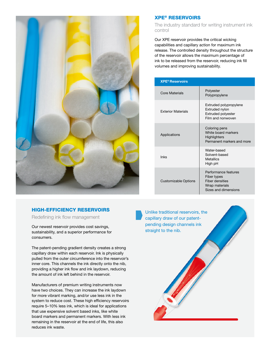

#### HIGH-EFFICIENCY RESERVOIRS

Redefining ink flow management

Our newest reservoir provides cost savings, sustainability, and a superior performance for consumers.

The patent-pending gradient density creates a strong capillary draw within each reservoir. Ink is physically pulled from the outer circumference into the reservoir's inner core. This channels the ink directly onto the nib, providing a higher ink flow and ink laydown, reducing the amount of ink left behind in the reservoir.

Manufacturers of premium writing instruments now have two choices. They can increase the ink laydown for more vibrant marking, and/or use less ink in the system to reduce cost. These high efficiency reservoirs require 5–10% less ink, which is ideal for applications that use expensive solvent based inks, like white board markers and permanent markers. With less ink remaining in the reservoir at the end of life, this also reduces ink waste.

#### XPE® RESERVOIRS

The industry standard for writing instrument ink control

Our XPE reservoir provides the critical wicking capabilities and capillary action for maximum ink release. The controlled density throughout the structure of the reservoir allows the maximum percentage of ink to be released from the reservoir, reducing ink fill volumes and improving sustainability.

| <b>XPE<sup>®</sup> Reservoirs</b> |                                                                                                         |
|-----------------------------------|---------------------------------------------------------------------------------------------------------|
| Core Materials                    | Polyester<br>Polypropylene                                                                              |
| <b>Exterior Materials</b>         | Extruded polypropylene<br>Extruded nylon<br><b>Extruded polyester</b><br>Film and nonwoven              |
| Applications                      | Coloring pens<br>White board markers<br>Highlighters<br>Permanent markers and more                      |
| <b>Inks</b>                       | Water-hased<br>Solvent-based<br><b>Metallics</b><br>High pH                                             |
| <b>Customizable Options</b>       | Performance features<br>Fiber types<br><b>Fiber densities</b><br>Wrap materials<br>Sizes and dimensions |

Unlike traditional reservoirs, the capillary draw of our patentpending design channels ink straight to the nib.